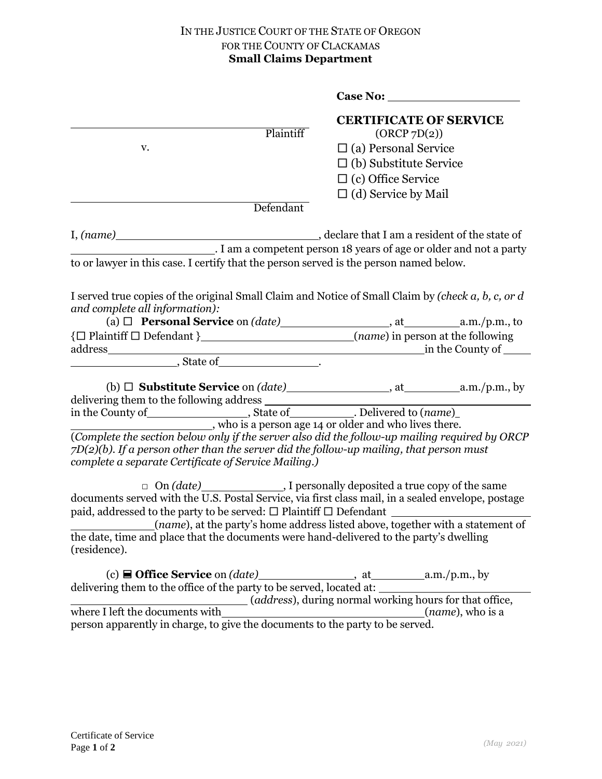## IN THE JUSTICE COURT OF THE STATE OF OREGON FOR THE COUNTY OF CLACKAMAS **Small Claims Department**

|                                                                                                                                                                                                                                                      | Case No:                                      |                           |
|------------------------------------------------------------------------------------------------------------------------------------------------------------------------------------------------------------------------------------------------------|-----------------------------------------------|---------------------------|
| Plaintiff                                                                                                                                                                                                                                            | <b>CERTIFICATE OF SERVICE</b><br>(ORCP 7D(2)) |                           |
| v.                                                                                                                                                                                                                                                   | $\Box$ (a) Personal Service                   |                           |
|                                                                                                                                                                                                                                                      | $\Box$ (b) Substitute Service                 |                           |
|                                                                                                                                                                                                                                                      | $\Box$ (c) Office Service                     |                           |
|                                                                                                                                                                                                                                                      | $\Box$ (d) Service by Mail                    |                           |
| Defendant                                                                                                                                                                                                                                            |                                               |                           |
|                                                                                                                                                                                                                                                      |                                               |                           |
| . I am a competent person 18 years of age or older and not a party                                                                                                                                                                                   |                                               |                           |
| to or lawyer in this case. I certify that the person served is the person named below.                                                                                                                                                               |                                               |                           |
|                                                                                                                                                                                                                                                      |                                               |                           |
| I served true copies of the original Small Claim and Notice of Small Claim by (check a, b, c, or d<br>and complete all information):                                                                                                                 |                                               |                           |
|                                                                                                                                                                                                                                                      |                                               |                           |
|                                                                                                                                                                                                                                                      |                                               |                           |
|                                                                                                                                                                                                                                                      |                                               |                           |
|                                                                                                                                                                                                                                                      |                                               |                           |
|                                                                                                                                                                                                                                                      |                                               |                           |
|                                                                                                                                                                                                                                                      |                                               |                           |
| in the County of the County of the County of the County of the County of the County of the state of the state of the state of the state of the state of the state of the state of the state of the state of the state of the s                       |                                               |                           |
|                                                                                                                                                                                                                                                      |                                               |                           |
| (Complete the section below only if the server also did the follow-up mailing required by ORCP<br>$7D(2)(b)$ . If a person other than the server did the follow-up mailing, that person must<br>complete a separate Certificate of Service Mailing.) |                                               |                           |
|                                                                                                                                                                                                                                                      |                                               |                           |
| $\Box$ On (date) $\Box$ I personally deposited a true copy of the same documents served with the U.S. Postal Service, via first class mail, in a sealed envelope, postage                                                                            |                                               |                           |
| (name), at the party's home address listed above, together with a statement of                                                                                                                                                                       |                                               |                           |
| the date, time and place that the documents were hand-delivered to the party's dwelling<br>(residence).                                                                                                                                              |                                               |                           |
|                                                                                                                                                                                                                                                      |                                               |                           |
| delivering them to the office of the party to be served, located at:<br>(address), during normal working hours for that office,                                                                                                                      |                                               |                           |
| where I left the documents with                                                                                                                                                                                                                      |                                               | ( <i>name</i> ), who is a |
| where I left the documents with $(n$ person apparently in charge, to give the documents to the party to be served.                                                                                                                                   |                                               |                           |